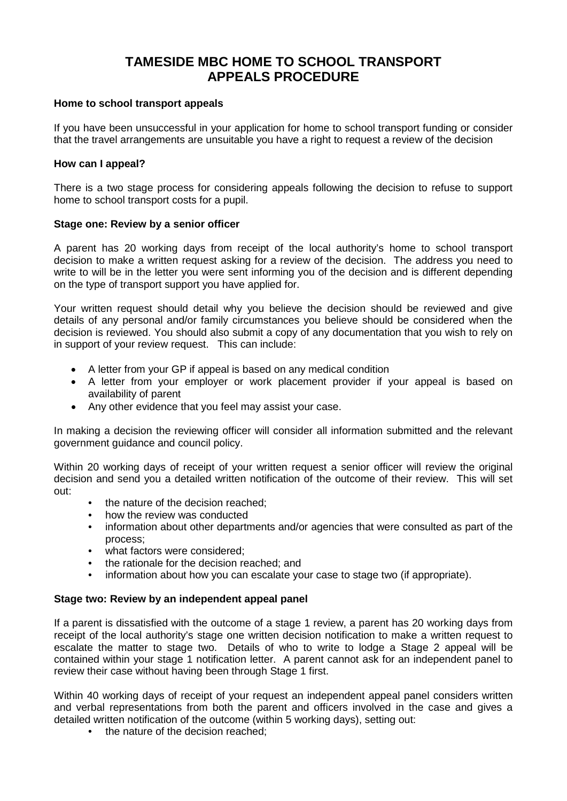# **TAMESIDE MBC HOME TO SCHOOL TRANSPORT APPEALS PROCEDURE**

## **Home to school transport appeals**

If you have been unsuccessful in your application for home to school transport funding or consider that the travel arrangements are unsuitable you have a right to request a review of the decision

## **How can I appeal?**

There is a two stage process for considering appeals following the decision to refuse to support home to school transport costs for a pupil.

## **Stage one: Review by a senior officer**

A parent has 20 working days from receipt of the local authority's home to school transport decision to make a written request asking for a review of the decision. The address you need to write to will be in the letter you were sent informing you of the decision and is different depending on the type of transport support you have applied for.

Your written request should detail why you believe the decision should be reviewed and give details of any personal and/or family circumstances you believe should be considered when the decision is reviewed. You should also submit a copy of any documentation that you wish to rely on in support of your review request. This can include:

- A letter from your GP if appeal is based on any medical condition
- A letter from your employer or work placement provider if your appeal is based on availability of parent
- Any other evidence that you feel may assist your case.

In making a decision the reviewing officer will consider all information submitted and the relevant government guidance and council policy.

Within 20 working days of receipt of your written request a senior officer will review the original decision and send you a detailed written notification of the outcome of their review. This will set out:

- the nature of the decision reached;
- how the review was conducted
- information about other departments and/or agencies that were consulted as part of the process;
- what factors were considered:
- the rationale for the decision reached; and
- information about how you can escalate your case to stage two (if appropriate).

## **Stage two: Review by an independent appeal panel**

If a parent is dissatisfied with the outcome of a stage 1 review, a parent has 20 working days from receipt of the local authority's stage one written decision notification to make a written request to escalate the matter to stage two. Details of who to write to lodge a Stage 2 appeal will be contained within your stage 1 notification letter. A parent cannot ask for an independent panel to review their case without having been through Stage 1 first.

Within 40 working days of receipt of your request an independent appeal panel considers written and verbal representations from both the parent and officers involved in the case and gives a detailed written notification of the outcome (within 5 working days), setting out:

• the nature of the decision reached: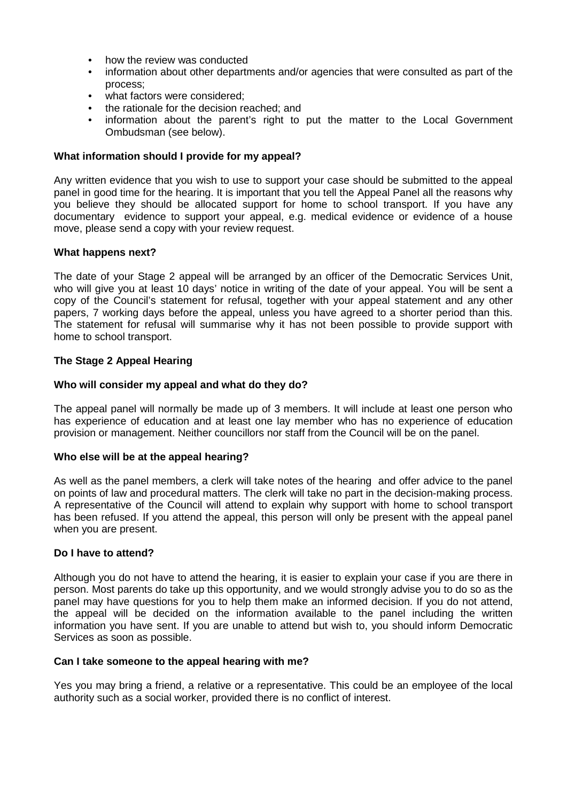- how the review was conducted
- information about other departments and/or agencies that were consulted as part of the process;
- what factors were considered:
- the rationale for the decision reached; and
- information about the parent's right to put the matter to the Local Government Ombudsman (see below).

#### **What information should I provide for my appeal?**

Any written evidence that you wish to use to support your case should be submitted to the appeal panel in good time for the hearing. It is important that you tell the Appeal Panel all the reasons why you believe they should be allocated support for home to school transport. If you have any documentary evidence to support your appeal, e.g. medical evidence or evidence of a house move, please send a copy with your review request.

## **What happens next?**

The date of your Stage 2 appeal will be arranged by an officer of the Democratic Services Unit, who will give you at least 10 days' notice in writing of the date of your appeal. You will be sent a copy of the Council's statement for refusal, together with your appeal statement and any other papers, 7 working days before the appeal, unless you have agreed to a shorter period than this. The statement for refusal will summarise why it has not been possible to provide support with home to school transport.

## **The Stage 2 Appeal Hearing**

#### **Who will consider my appeal and what do they do?**

The appeal panel will normally be made up of 3 members. It will include at least one person who has experience of education and at least one lay member who has no experience of education provision or management. Neither councillors nor staff from the Council will be on the panel.

#### **Who else will be at the appeal hearing?**

As well as the panel members, a clerk will take notes of the hearing and offer advice to the panel on points of law and procedural matters. The clerk will take no part in the decision-making process. A representative of the Council will attend to explain why support with home to school transport has been refused. If you attend the appeal, this person will only be present with the appeal panel when you are present.

#### **Do I have to attend?**

Although you do not have to attend the hearing, it is easier to explain your case if you are there in person. Most parents do take up this opportunity, and we would strongly advise you to do so as the panel may have questions for you to help them make an informed decision. If you do not attend, the appeal will be decided on the information available to the panel including the written information you have sent. If you are unable to attend but wish to, you should inform Democratic Services as soon as possible.

#### **Can I take someone to the appeal hearing with me?**

Yes you may bring a friend, a relative or a representative. This could be an employee of the local authority such as a social worker, provided there is no conflict of interest.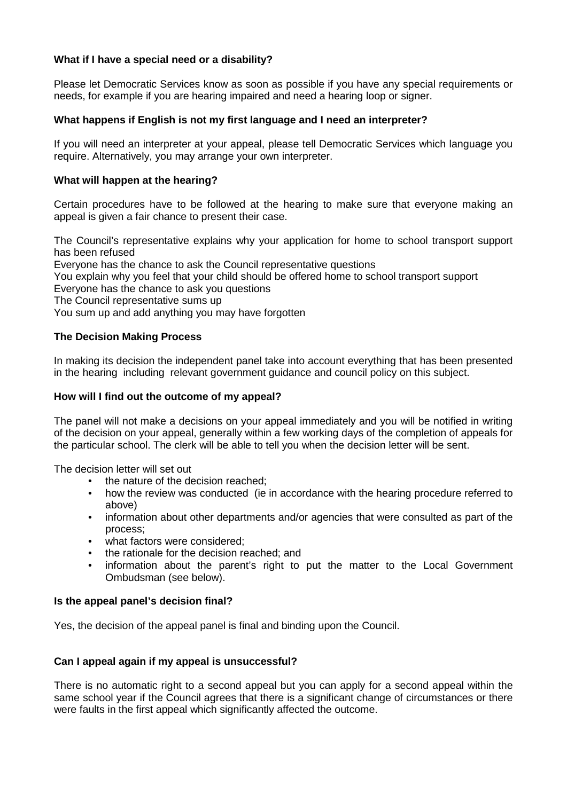# **What if I have a special need or a disability?**

Please let Democratic Services know as soon as possible if you have any special requirements or needs, for example if you are hearing impaired and need a hearing loop or signer.

# **What happens if English is not my first language and I need an interpreter?**

If you will need an interpreter at your appeal, please tell Democratic Services which language you require. Alternatively, you may arrange your own interpreter.

## **What will happen at the hearing?**

Certain procedures have to be followed at the hearing to make sure that everyone making an appeal is given a fair chance to present their case.

The Council's representative explains why your application for home to school transport support has been refused Everyone has the chance to ask the Council representative questions You explain why you feel that your child should be offered home to school transport support Everyone has the chance to ask you questions The Council representative sums up You sum up and add anything you may have forgotten

# **The Decision Making Process**

In making its decision the independent panel take into account everything that has been presented in the hearing including relevant government guidance and council policy on this subject.

# **How will I find out the outcome of my appeal?**

The panel will not make a decisions on your appeal immediately and you will be notified in writing of the decision on your appeal, generally within a few working days of the completion of appeals for the particular school. The clerk will be able to tell you when the decision letter will be sent.

The decision letter will set out

- the nature of the decision reached;
- how the review was conducted (ie in accordance with the hearing procedure referred to above)
- information about other departments and/or agencies that were consulted as part of the process;
- what factors were considered;
- the rationale for the decision reached; and
- information about the parent's right to put the matter to the Local Government Ombudsman (see below).

## **Is the appeal panel's decision final?**

Yes, the decision of the appeal panel is final and binding upon the Council.

## **Can I appeal again if my appeal is unsuccessful?**

There is no automatic right to a second appeal but you can apply for a second appeal within the same school year if the Council agrees that there is a significant change of circumstances or there were faults in the first appeal which significantly affected the outcome.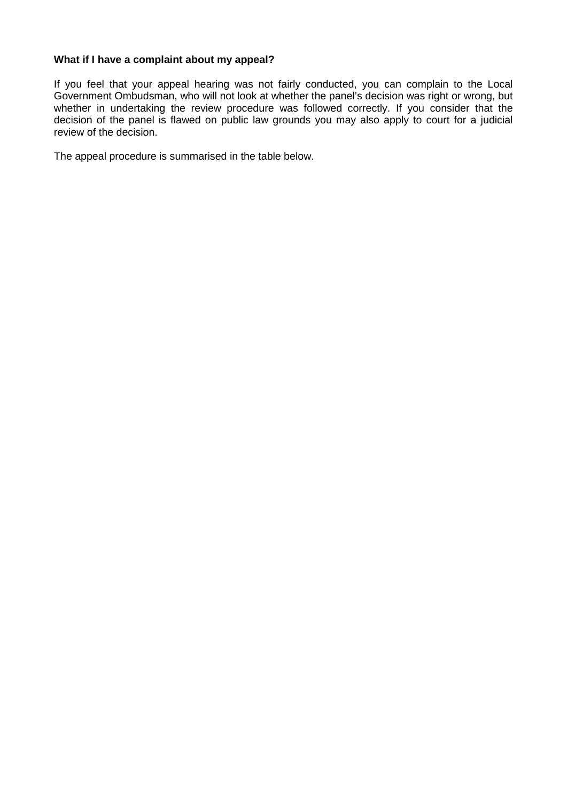## **What if I have a complaint about my appeal?**

If you feel that your appeal hearing was not fairly conducted, you can complain to the Local Government Ombudsman, who will not look at whether the panel's decision was right or wrong, but whether in undertaking the review procedure was followed correctly. If you consider that the decision of the panel is flawed on public law grounds you may also apply to court for a judicial review of the decision.

The appeal procedure is summarised in the table below.